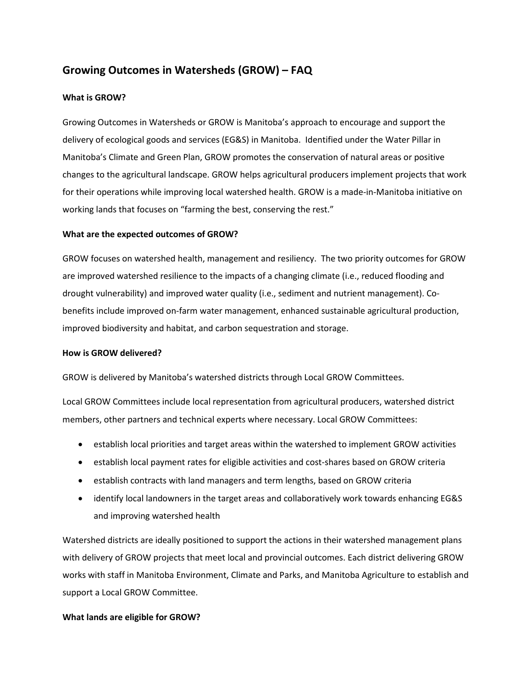# **Growing Outcomes in Watersheds (GROW) – FAQ**

## **What is GROW?**

Growing Outcomes in Watersheds or GROW is Manitoba's approach to encourage and support the delivery of ecological goods and services (EG&S) in Manitoba. Identified under the Water Pillar in Manitoba's Climate and Green Plan, GROW promotes the conservation of natural areas or positive changes to the agricultural landscape. GROW helps agricultural producers implement projects that work for their operations while improving local watershed health. GROW is a made-in-Manitoba initiative on working lands that focuses on "farming the best, conserving the rest."

## **What are the expected outcomes of GROW?**

GROW focuses on watershed health, management and resiliency. The two priority outcomes for GROW are improved watershed resilience to the impacts of a changing climate (i.e., reduced flooding and drought vulnerability) and improved water quality (i.e., sediment and nutrient management). Cobenefits include improved on-farm water management, enhanced sustainable agricultural production, improved biodiversity and habitat, and carbon sequestration and storage.

### **How is GROW delivered?**

GROW is delivered by Manitoba's watershed districts through Local GROW Committees.

Local GROW Committees include local representation from agricultural producers, watershed district members, other partners and technical experts where necessary. Local GROW Committees:

- establish local priorities and target areas within the watershed to implement GROW activities
- establish local payment rates for eligible activities and cost-shares based on GROW criteria
- establish contracts with land managers and term lengths, based on GROW criteria
- identify local landowners in the target areas and collaboratively work towards enhancing EG&S and improving watershed health

Watershed districts are ideally positioned to support the actions in their watershed management plans with delivery of GROW projects that meet local and provincial outcomes. Each district delivering GROW works with staff in Manitoba Environment, Climate and Parks, and Manitoba Agriculture to establish and support a Local GROW Committee.

## **What lands are eligible for GROW?**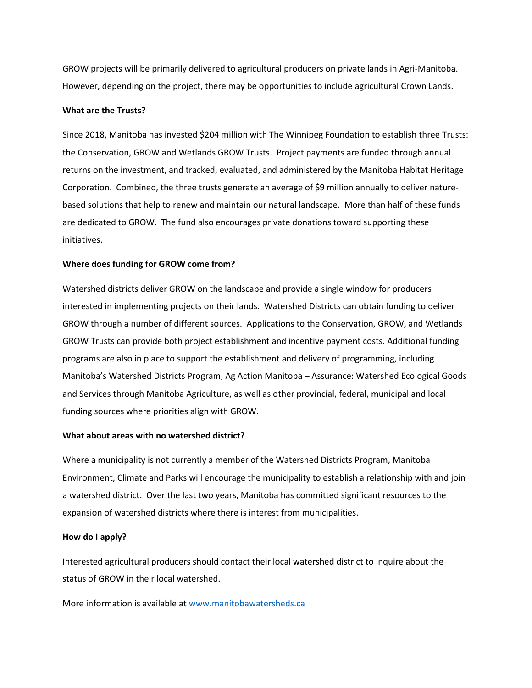GROW projects will be primarily delivered to agricultural producers on private lands in Agri-Manitoba. However, depending on the project, there may be opportunities to include agricultural Crown Lands.

#### **What are the Trusts?**

Since 2018, Manitoba has invested \$204 million with The Winnipeg Foundation to establish three Trusts: the Conservation, GROW and Wetlands GROW Trusts. Project payments are funded through annual returns on the investment, and tracked, evaluated, and administered by the Manitoba Habitat Heritage Corporation. Combined, the three trusts generate an average of \$9 million annually to deliver naturebased solutions that help to renew and maintain our natural landscape. More than half of these funds are dedicated to GROW. The fund also encourages private donations toward supporting these initiatives.

#### **Where does funding for GROW come from?**

Watershed districts deliver GROW on the landscape and provide a single window for producers interested in implementing projects on their lands. Watershed Districts can obtain funding to deliver GROW through a number of different sources. Applications to the Conservation, GROW, and Wetlands GROW Trusts can provide both project establishment and incentive payment costs. Additional funding programs are also in place to support the establishment and delivery of programming, including Manitoba's Watershed Districts Program, Ag Action Manitoba – Assurance: Watershed Ecological Goods and Services through Manitoba Agriculture, as well as other provincial, federal, municipal and local funding sources where priorities align with GROW.

#### **What about areas with no watershed district?**

Where a municipality is not currently a member of the Watershed Districts Program, Manitoba Environment, Climate and Parks will encourage the municipality to establish a relationship with and join a watershed district. Over the last two years, Manitoba has committed significant resources to the expansion of watershed districts where there is interest from municipalities.

#### **How do I apply?**

Interested agricultural producers should contact their local watershed district to inquire about the status of GROW in their local watershed.

More information is available at [www.manitobawatersheds.ca](http://www.manitobawatersheds.ca/)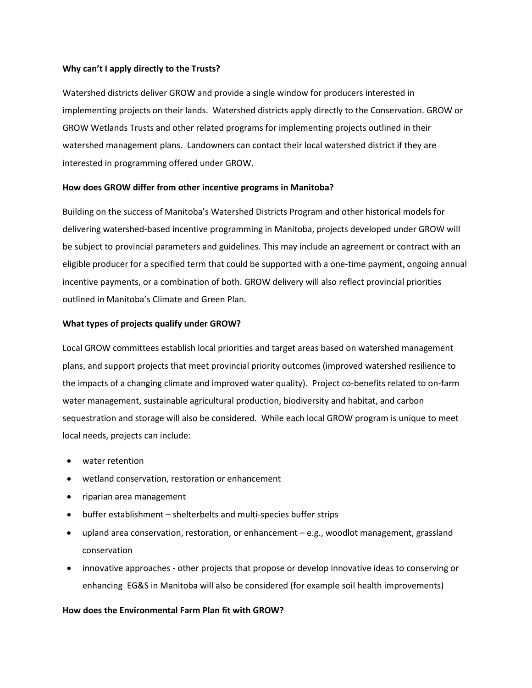### **Why can't I apply directly to the Trusts?**

Watershed districts deliver GROW and provide a single window for producers interested in implementing projects on their lands. Watershed districts apply directly to the Conservation. GROW or GROW Wetlands Trusts and other related programs for implementing projects outlined in their watershed management plans. Landowners can contact their local watershed district if they are interested in programming offered under GROW.

## **How does GROW differ from other incentive programs in Manitoba?**

Building on the success of Manitoba's Watershed Districts Program and other historical models for delivering watershed-based incentive programming in Manitoba, projects developed under GROW will be subject to provincial parameters and guidelines. This may include an agreement or contract with an eligible producer for a specified term that could be supported with a one-time payment, ongoing annual incentive payments, or a combination of both. GROW delivery will also reflect provincial priorities outlined in Manitoba's Climate and Green Plan.

## **What types of projects qualify under GROW?**

Local GROW committees establish local priorities and target areas based on watershed management plans, and support projects that meet provincial priority outcomes (improved watershed resilience to the impacts of a changing climate and improved water quality). Project co-benefits related to on-farm water management, sustainable agricultural production, biodiversity and habitat, and carbon sequestration and storage will also be considered. While each local GROW program is unique to meet local needs, projects can include:

- water retention
- wetland conservation, restoration or enhancement
- riparian area management
- buffer establishment shelterbelts and multi-species buffer strips
- upland area conservation, restoration, or enhancement e.g., woodlot management, grassland conservation
- innovative approaches other projects that propose or develop innovative ideas to conserving or enhancing EG&S in Manitoba will also be considered (for example soil health improvements)

### **How does the Environmental Farm Plan fit with GROW?**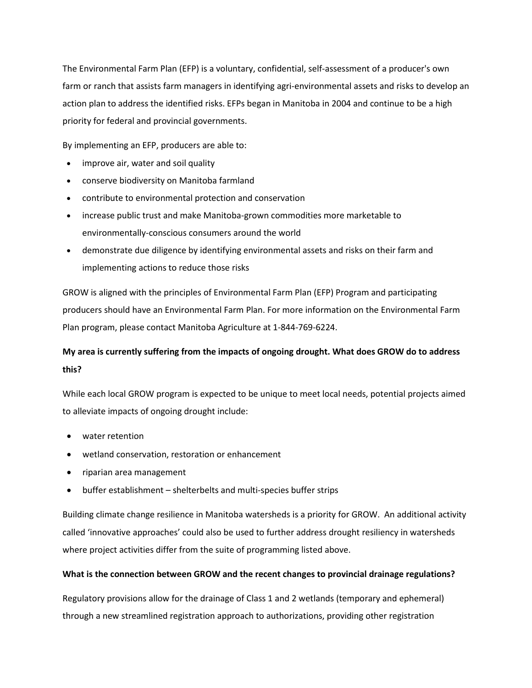The Environmental Farm Plan (EFP) is a voluntary, confidential, self-assessment of a producer's own farm or ranch that assists farm managers in identifying agri-environmental assets and risks to develop an action plan to address the identified risks. EFPs began in Manitoba in 2004 and continue to be a high priority for federal and provincial governments.

By implementing an EFP, producers are able to:

- improve air, water and soil quality
- conserve biodiversity on Manitoba farmland
- contribute to environmental protection and conservation
- increase public trust and make Manitoba-grown commodities more marketable to environmentally-conscious consumers around the world
- demonstrate due diligence by identifying environmental assets and risks on their farm and implementing actions to reduce those risks

GROW is aligned with the principles of Environmental Farm Plan (EFP) Program and participating producers should have an Environmental Farm Plan. For more information on the Environmental Farm Plan program, please contact Manitoba Agriculture at 1-844-769-6224.

# **My area is currently suffering from the impacts of ongoing drought. What does GROW do to address this?**

While each local GROW program is expected to be unique to meet local needs, potential projects aimed to alleviate impacts of ongoing drought include:

- water retention
- wetland conservation, restoration or enhancement
- riparian area management
- buffer establishment shelterbelts and multi-species buffer strips

Building climate change resilience in Manitoba watersheds is a priority for GROW. An additional activity called 'innovative approaches' could also be used to further address drought resiliency in watersheds where project activities differ from the suite of programming listed above.

## **What is the connection between GROW and the recent changes to provincial drainage regulations?**

Regulatory provisions allow for the drainage of Class 1 and 2 wetlands (temporary and ephemeral) through a new streamlined registration approach to authorizations, providing other registration